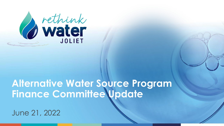

### **Alternative Water Source Program Finance Committee Update**

June 21, 2022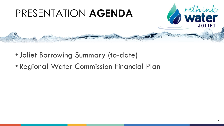

- •Joliet Borrowing Summary (to-date)
- Regional Water Commission Financial Plan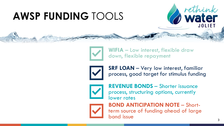# **AWSP FUNDING** TOOLS

**WIFIA** – Low interest, flexible draw down, flexible repayment

**SRF LOAN** – Very low interest, familiar process, good target for stimulus funding



**REVENUE BONDS** – Shorter issuance process, structuring options, currently lower rates



**BOND ANTICIPATION NOTE** – Shortterm source of funding ahead of large bond issue

rethink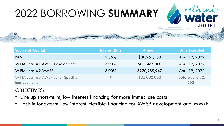# 2022 BORROWING **SUMMARY**

| <b>Source of Capital</b>                                  | <b>Interest Rate</b> | <b>Amount</b> | <b>Date Executed</b>    |
|-----------------------------------------------------------|----------------------|---------------|-------------------------|
| <b>BAN</b>                                                | 2.36%                | \$80,261,500  | April 12, 2022          |
| WIFIA Loan #1 AWSP Development                            | $3.00\%$             | \$87,465,000  | April 19, 2022          |
| WIFIA Loan #2 WMRP                                        | $3.00\%$             | \$220,989,947 | April 19, 2022          |
| WIFIA Loan #3 AWSP Joliet-Specific<br><b>Improvements</b> | Ŝ.                   | \$35,000,000  | Before June 30,<br>2024 |

### OBJECTIVES:

- Line up short-term, low interest financing for more immediate costs
- Lock in long-term, low interest, flexible financing for AWSP development and WMRP

*C* rethink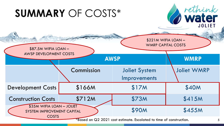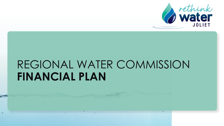

# REGIONAL WATER COMMISSION **FINANCIAL PLAN**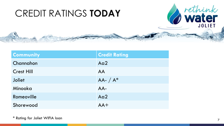

| <b>Community</b>  | <b>Credit Rating</b> |
|-------------------|----------------------|
| Channahon         | Aq2                  |
| <b>Crest Hill</b> | AA                   |
| <b>Joliet</b>     | $AA A^*$             |
| Minooka           | AA-                  |
| Romeoville        | Aa2                  |
| Shorewood         | $AA+$                |

\* Rating for Joliet WIFIA loan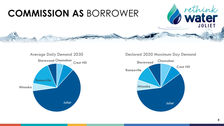### **COMMISSION AS** BORROWER

#### Average Daily Demand 2030



Declared 2050 Maximum Day Demand



rethink